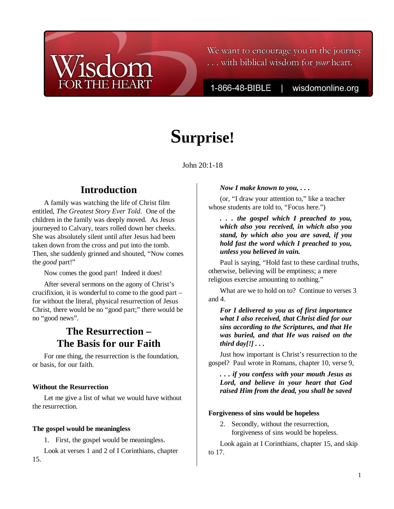We want to encourage you in the journey ... with biblical wisdom for your heart.

1-866-48-BIBLE

wisdomonline.org

# **Surprise!**

John 20:1-18

# **Introduction**

A family was watching the life of Christ film entitled, *The Greatest Story Ever Told*. One of the children in the family was deeply moved. As Jesus journeyed to Calvary, tears rolled down her cheeks. She was absolutely silent until after Jesus had been taken down from the cross and put into the tomb. Then, she suddenly grinned and shouted, "Now comes the *good* part!"

Now comes the good part! Indeed it does!

After several sermons on the agony of Christ's crucifixion, it is wonderful to come to the good part – for without the literal, physical resurrection of Jesus Christ, there would be no "good part;" there would be no "good news".

## **The Resurrection – The Basis for our Faith**

For one thing, the resurrection is the foundation, or basis, for our faith.

### **Without the Resurrection**

Let me give a list of what we would have without the resurrection.

#### **The gospel would be meaningless**

1. First, the gospel would be meaningless.

Look at verses 1 and 2 of I Corinthians, chapter 15.

#### *Now I make known to you, . . .*

(or, "I draw your attention to," like a teacher whose students are told to, "Focus here.")

*. . . the gospel which I preached to you, which also you received, in which also you stand, by which also you are saved, if you hold fast the word which I preached to you, unless you believed in vain.*

Paul is saying, "Hold fast to these cardinal truths, otherwise, believing will be emptiness; a mere religious exercise amounting to nothing."

What are we to hold on to? Continue to verses 3 and 4.

*For I delivered to you as of first importance what I also received, that Christ died for our sins according to the Scriptures, and that He was buried, and that He was raised on the third day[!] . . .*

Just how important is Christ's resurrection to the gospel? Paul wrote in Romans, chapter 10, verse 9,

*. . . if you confess with your mouth Jesus as Lord, and believe in your heart that God raised Him from the dead, you shall be saved* 

#### **Forgiveness of sins would be hopeless**

2. Secondly, without the resurrection, forgiveness of sins would be hopeless.

Look again at I Corinthians, chapter 15, and skip to 17.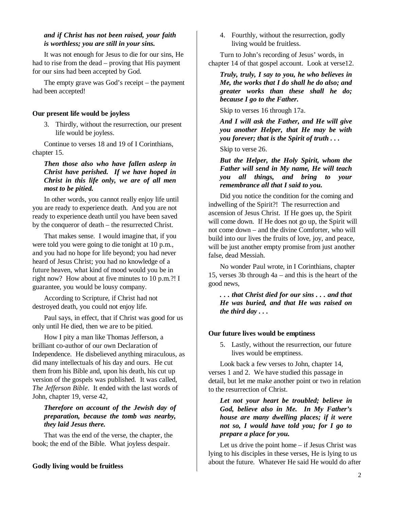#### *and if Christ has not been raised, your faith is worthless; you are still in your sins.*

It was not enough for Jesus to die for our sins, He had to rise from the dead – proving that His payment for our sins had been accepted by God.

The empty grave was God's receipt – the payment had been accepted!

#### **Our present life would be joyless**

3. Thirdly, without the resurrection, our present life would be joyless.

Continue to verses 18 and 19 of I Corinthians, chapter 15.

*Then those also who have fallen asleep in Christ have perished. If we have hoped in Christ in this life only, we are of all men most to be pitied.* 

In other words, you cannot really enjoy life until you are ready to experience death. And you are not ready to experience death until you have been saved by the conqueror of death – the resurrected Christ.

That makes sense. I would imagine that, if you were told you were going to die tonight at 10 p.m., and you had no hope for life beyond; you had never heard of Jesus Christ; you had no knowledge of a future heaven, what kind of mood would you be in right now? How about at five minutes to 10 p.m.?! I guarantee, you would be lousy company.

According to Scripture, if Christ had not destroyed death, you could not enjoy life.

Paul says, in effect, that if Christ was good for us only until He died, then we are to be pitied.

How I pity a man like Thomas Jefferson, a brilliant co-author of our own Declaration of Independence. He disbelieved anything miraculous, as did many intellectuals of his day and ours. He cut them from his Bible and, upon his death, his cut up version of the gospels was published. It was called, *The Jefferson Bible*. It ended with the last words of John, chapter 19, verse 42,

#### *Therefore on account of the Jewish day of preparation, because the tomb was nearby, they laid Jesus there.*

That was the end of the verse, the chapter, the book; the end of the Bible. What joyless despair.

#### **Godly living would be fruitless**

4. Fourthly, without the resurrection, godly living would be fruitless.

Turn to John's recording of Jesus' words, in chapter 14 of that gospel account. Look at verse12.

*Truly, truly, I say to you, he who believes in Me, the works that I do shall he do also; and greater works than these shall he do; because I go to the Father.* 

Skip to verses 16 through 17a.

*And I will ask the Father, and He will give you another Helper, that He may be with you forever; that is the Spirit of truth . . .* 

Skip to verse 26.

*But the Helper, the Holy Spirit, whom the Father will send in My name, He will teach you all things, and bring to your remembrance all that I said to you.*

Did you notice the condition for the coming and indwelling of the Spirit?! The resurrection and ascension of Jesus Christ. If He goes up, the Spirit will come down. If He does not go up, the Spirit will not come down – and the divine Comforter, who will build into our lives the fruits of love, joy, and peace, will be just another empty promise from just another false, dead Messiah.

No wonder Paul wrote, in I Corinthians, chapter 15, verses 3b through 4a – and this is the heart of the good news,

*. . . that Christ died for our sins . . . and that He was buried, and that He was raised on the third day . . .* 

#### **Our future lives would be emptiness**

5. Lastly, without the resurrection, our future lives would be emptiness.

Look back a few verses to John, chapter 14, verses 1 and 2. We have studied this passage in detail, but let me make another point or two in relation to the resurrection of Christ.

*Let not your heart be troubled; believe in God, believe also in Me. In My Father's house are many dwelling places; if it were not so, I would have told you; for I go to prepare a place for you.*

Let us drive the point home – if Jesus Christ was lying to his disciples in these verses, He is lying to us about the future. Whatever He said He would do after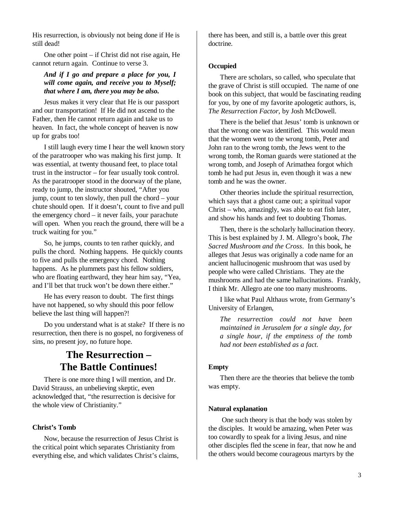His resurrection, is obviously not being done if He is still dead!

One other point – if Christ did not rise again, He cannot return again. Continue to verse 3.

#### *And if I go and prepare a place for you, I will come again, and receive you to Myself; that where I am, there you may be also.*

Jesus makes it very clear that He is our passport and our transportation! If He did not ascend to the Father, then He cannot return again and take us to heaven. In fact, the whole concept of heaven is now up for grabs too!

I still laugh every time I hear the well known story of the paratrooper who was making his first jump. It was essential, at twenty thousand feet, to place total trust in the instructor – for fear usually took control. As the paratrooper stood in the doorway of the plane, ready to jump, the instructor shouted, "After you jump, count to ten slowly, then pull the chord – your chute should open. If it doesn't, count to five and pull the emergency chord – it never fails, your parachute will open. When you reach the ground, there will be a truck waiting for you."

So, he jumps, counts to ten rather quickly, and pulls the chord. Nothing happens. He quickly counts to five and pulls the emergency chord. Nothing happens. As he plummets past his fellow soldiers, who are floating earthward, they hear him say, "Yea, and I'll bet that truck won't be down there either."

He has every reason to doubt. The first things have not happened, so why should this poor fellow believe the last thing will happen?!

Do you understand what is at stake? If there is no resurrection, then there is no gospel, no forgiveness of sins, no present joy, no future hope.

# **The Resurrection – The Battle Continues!**

There is one more thing I will mention, and Dr. David Strauss, an unbelieving skeptic, even acknowledged that, "the resurrection is decisive for the whole view of Christianity."

#### **Christ's Tomb**

Now, because the resurrection of Jesus Christ is the critical point which separates Christianity from everything else, and which validates Christ's claims,

there has been, and still is, a battle over this great doctrine.

#### **Occupied**

There are scholars, so called, who speculate that the grave of Christ is still occupied. The name of one book on this subject, that would be fascinating reading for you, by one of my favorite apologetic authors, is, *The Resurrection Factor*, by Josh McDowell.

There is the belief that Jesus' tomb is unknown or that the wrong one was identified. This would mean that the women went to the wrong tomb, Peter and John ran to the wrong tomb, the Jews went to the wrong tomb, the Roman guards were stationed at the wrong tomb, and Joseph of Arimathea forgot which tomb he had put Jesus in, even though it was a new tomb and he was the owner.

Other theories include the spiritual resurrection, which says that a ghost came out; a spiritual vapor Christ – who, amazingly, was able to eat fish later, and show his hands and feet to doubting Thomas.

Then, there is the scholarly hallucination theory. This is best explained by J. M. Allegro's book, *The Sacred Mushroom and the Cross*. In this book, he alleges that Jesus was originally a code name for an ancient hallucinogenic mushroom that was used by people who were called Christians. They ate the mushrooms and had the same hallucinations. Frankly, I think Mr. Allegro ate one too many mushrooms.

I like what Paul Althaus wrote, from Germany's University of Erlangen,

*The resurrection could not have been maintained in Jerusalem for a single day, for a single hour, if the emptiness of the tomb had not been established as a fact.* 

#### **Empty**

Then there are the theories that believe the tomb was empty.

#### **Natural explanation**

 One such theory is that the body was stolen by the disciples. It would be amazing, when Peter was too cowardly to speak for a living Jesus, and nine other disciples fled the scene in fear, that now he and the others would become courageous martyrs by the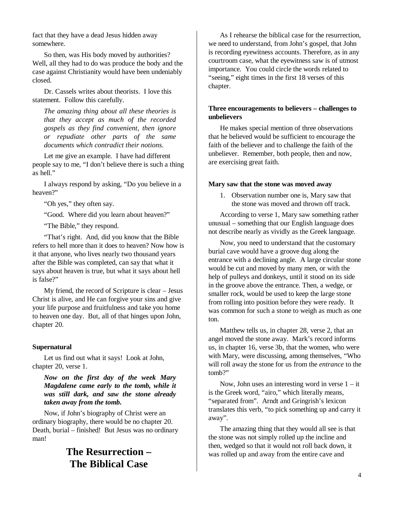fact that they have a dead Jesus hidden away somewhere.

So then, was His body moved by authorities? Well, all they had to do was produce the body and the case against Christianity would have been undeniably closed.

Dr. Cassels writes about theorists. I love this statement. Follow this carefully.

*The amazing thing about all these theories is that they accept as much of the recorded gospels as they find convenient, then ignore or repudiate other parts of the same documents which contradict their notions.*

Let me give an example. I have had different people say to me, "I don't believe there is such a thing as hell."

I always respond by asking, "Do you believe in a heaven?"

"Oh yes," they often say.

"Good. Where did you learn about heaven?"

"The Bible," they respond.

"That's right. And, did you know that the Bible refers to hell more than it does to heaven? Now how is it that anyone, who lives nearly two thousand years after the Bible was completed, can say that what it says about heaven is true, but what it says about hell is false?"

My friend, the record of Scripture is clear – Jesus Christ is alive, and He can forgive your sins and give your life purpose and fruitfulness and take you home to heaven one day. But, all of that hinges upon John, chapter 20.

#### **Supernatural**

Let us find out what it says! Look at John, chapter 20, verse 1.

*Now on the first day of the week Mary Magdalene came early to the tomb, while it was still dark, and saw the stone already taken away from the tomb.*

Now, if John's biography of Christ were an ordinary biography, there would be no chapter 20. Death, burial – finished! But Jesus was no ordinary man!

# **The Resurrection – The Biblical Case**

As I rehearse the biblical case for the resurrection, we need to understand, from John's gospel, that John is recording eyewitness accounts. Therefore, as in any courtroom case, what the eyewitness saw is of utmost importance. You could circle the words related to "seeing," eight times in the first 18 verses of this chapter.

#### **Three encouragements to believers – challenges to unbelievers**

He makes special mention of three observations that he believed would be sufficient to encourage the faith of the believer and to challenge the faith of the unbeliever. Remember, both people, then and now, are exercising great faith.

#### **Mary saw that the stone was moved away**

1. Observation number one is, Mary saw that the stone was moved and thrown off track.

According to verse 1, Mary saw something rather unusual – something that our English language does not describe nearly as vividly as the Greek language.

Now, you need to understand that the customary burial cave would have a groove dug along the entrance with a declining angle. A large circular stone would be cut and moved by many men, or with the help of pulleys and donkeys, until it stood on its side in the groove above the entrance. Then, a wedge, or smaller rock, would be used to keep the large stone from rolling into position before they were ready. It was common for such a stone to weigh as much as one ton.

Matthew tells us, in chapter 28, verse 2, that an angel moved the stone away. Mark's record informs us, in chapter 16, verse 3b, that the women, who were with Mary, were discussing, among themselves, "Who will roll away the stone for us from the *entrance* to the tomb?"

Now, John uses an interesting word in verse  $1 - it$ is the Greek word, "airo," which literally means, "separated from". Arndt and Gringrish's lexicon translates this verb, "to pick something up and carry it away".

The amazing thing that they would all see is that the stone was not simply rolled up the incline and then, wedged so that it would not roll back down, it was rolled up and away from the entire cave and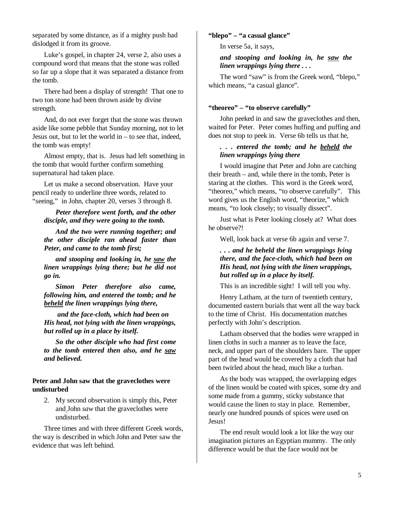separated by some distance, as if a mighty push had dislodged it from its groove.

Luke's gospel, in chapter 24, verse 2, also uses a compound word that means that the stone was rolled so far up a slope that it was separated a distance from the tomb.

There had been a display of strength! That one to two ton stone had been thrown aside by divine strength.

And, do not ever forget that the stone was thrown aside like some pebble that Sunday morning, not to let Jesus out, but to let the world in – to see that, indeed, the tomb was empty!

Almost empty, that is. Jesus had left something in the tomb that would further confirm something supernatural had taken place.

Let us make a second observation. Have your pencil ready to underline three words, related to "seeing," in John, chapter 20, verses 3 through 8.

*Peter therefore went forth, and the other disciple, and they were going to the tomb.* 

*And the two were running together; and the other disciple ran ahead faster than Peter, and came to the tomb first;* 

*and stooping and looking in, he saw the linen wrappings lying there; but he did not go in.* 

*Simon Peter therefore also came, following him, and entered the tomb; and he beheld the linen wrappings lying there,* 

 *and the face-cloth, which had been on His head, not lying with the linen wrappings, but rolled up in a place by itself.* 

*So the other disciple who had first come to the tomb entered then also, and he saw and believed.* 

#### **Peter and John saw that the graveclothes were undisturbed**

2. My second observation is simply this, Peter and John *saw* that the graveclothes were undisturbed.

Three times and with three different Greek words, the way is described in which John and Peter saw the evidence that was left behind.

#### **"blepo" – "a casual glance"**

In verse 5a, it says,

#### *and stooping and looking in, he saw the linen wrappings lying there . . .*

The word "saw" is from the Greek word, "blepo," which means, "a casual glance".

#### **"theoreo" – "to observe carefully"**

John peeked in and saw the graveclothes and then, waited for Peter. Peter comes huffing and puffing and does not stop to peek in. Verse 6b tells us that he,

#### *. . . entered the tomb; and he beheld the linen wrappings lying there*

I would imagine that Peter and John are catching their breath – and, while there in the tomb, Peter is staring at the clothes. This word is the Greek word, "theoreo," which means, "to observe carefully". This word gives us the English word, "theorize," which means, "to look closely; to visually dissect".

Just what is Peter looking closely at? What does he observe?!

Well, look back at verse 6b again and verse 7.

#### *. . . and he beheld the linen wrappings lying there, and the face-cloth, which had been on His head, not lying with the linen wrappings, but rolled up in a place by itself.*

This is an incredible sight! I will tell you why.

Henry Latham, at the turn of twentieth century, documented eastern burials that went all the way back to the time of Christ. His documentation matches perfectly with John's description.

Latham observed that the bodies were wrapped in linen cloths in such a manner as to leave the face, neck, and upper part of the shoulders bare. The upper part of the head would be covered by a cloth that had been twirled about the head, much like a turban.

As the body was wrapped, the overlapping edges of the linen would be coated with spices, some dry and some made from a gummy, sticky substance that would cause the linen to stay in place. Remember, nearly one hundred pounds of spices were used on Jesus!

The end result would look a lot like the way our imagination pictures an Egyptian mummy. The only difference would be that the face would not be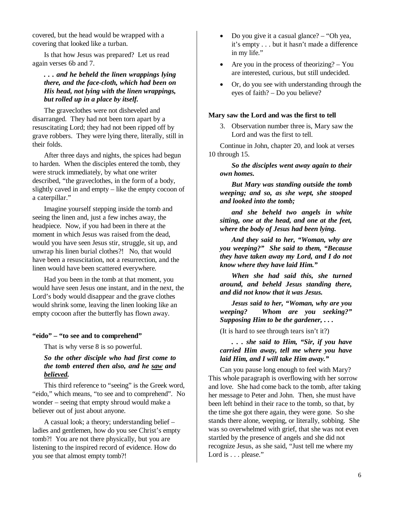covered, but the head would be wrapped with a covering that looked like a turban.

Is that how Jesus was prepared? Let us read again verses 6b and 7.

#### *. . . and he beheld the linen wrappings lying there, and the face-cloth, which had been on His head, not lying with the linen wrappings, but rolled up in a place by itself.*

The graveclothes were not disheveled and disarranged. They had not been torn apart by a resuscitating Lord; they had not been ripped off by grave robbers. They were lying there, literally, still in their folds.

After three days and nights, the spices had begun to harden. When the disciples entered the tomb, they were struck immediately, by what one writer described, "the graveclothes, in the form of a body, slightly caved in and empty – like the empty cocoon of a caterpillar."

Imagine yourself stepping inside the tomb and seeing the linen and, just a few inches away, the headpiece. Now, if you had been in there at the moment in which Jesus was raised from the dead, would you have seen Jesus stir, struggle, sit up, and unwrap his linen burial clothes?! No, that would have been a resuscitation, not a resurrection, and the linen would have been scattered everywhere.

Had you been in the tomb at that moment, you would have seen Jesus one instant, and in the next, the Lord's body would disappear and the grave clothes would shrink some, leaving the linen looking like an empty cocoon after the butterfly has flown away.

#### **"eido" – "to see and to comprehend"**

That is why verse 8 is so powerful.

#### *So the other disciple who had first come to the tomb entered then also, and he saw and believed.*

This third reference to "seeing" is the Greek word, "eido," which means, "to see and to comprehend". No wonder – seeing that empty shroud would make a believer out of just about anyone.

A casual look; a theory; understanding belief – ladies and gentlemen, how do you see Christ's empty tomb?! You are not there physically, but you are listening to the inspired record of evidence. How do you see that almost empty tomb?!

- Do you give it a casual glance? "Oh yea, it's empty . . . but it hasn't made a difference in my life."
- Are you in the process of theorizing? You are interested, curious, but still undecided.
- Or, do you see with understanding through the eyes of faith? – Do you believe?

#### **Mary saw the Lord and was the first to tell**

3. Observation number three is, Mary saw the Lord and was the first to tell.

Continue in John, chapter 20, and look at verses 10 through 15.

#### *So the disciples went away again to their own homes.*

*But Mary was standing outside the tomb weeping; and so, as she wept, she stooped and looked into the tomb;* 

*and she beheld two angels in white sitting, one at the head, and one at the feet, where the body of Jesus had been lying.* 

*And they said to her, "Woman, why are you weeping?" She said to them, "Because they have taken away my Lord, and I do not know where they have laid Him."* 

*When she had said this, she turned around, and beheld Jesus standing there, and did not know that it was Jesus.* 

*Jesus said to her, "Woman, why are you weeping? Whom are you seeking?" Supposing Him to be the gardener, . . .* 

(It is hard to see through tears isn't it?)

*. . . she said to Him, "Sir, if you have carried Him away, tell me where you have laid Him, and I will take Him away."*

Can you pause long enough to feel with Mary? This whole paragraph is overflowing with her sorrow and love. She had come back to the tomb, after taking her message to Peter and John. Then, she must have been left behind in their race to the tomb, so that, by the time she got there again, they were gone. So she stands there alone, weeping, or literally, sobbing. She was so overwhelmed with grief, that she was not even startled by the presence of angels and she did not recognize Jesus, as she said, "Just tell me where my Lord is . . . please."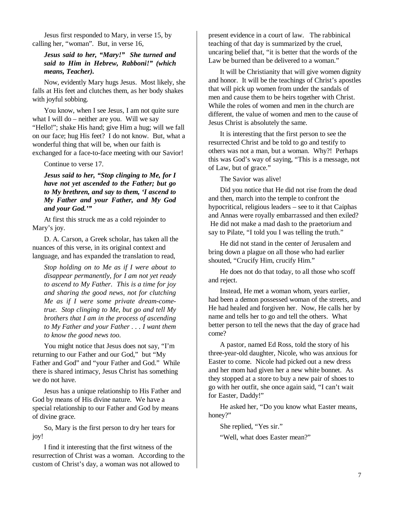Jesus first responded to Mary, in verse 15, by calling her, "woman". But, in verse 16,

#### *Jesus said to her, "Mary!" She turned and said to Him in Hebrew, Rabboni!" (which means, Teacher).*

Now, evidently Mary hugs Jesus. Most likely, she falls at His feet and clutches them, as her body shakes with joyful sobbing.

You know, when I see Jesus, I am not quite sure what I will do – neither are you. Will we say "Hello!"; shake His hand; give Him a hug; will we fall on our face; hug His feet? I do not know. But, what a wonderful thing that will be, when our faith is exchanged for a face-to-face meeting with our Savior!

Continue to verse 17.

*Jesus said to her, "Stop clinging to Me, for I have not yet ascended to the Father; but go to My brethren, and say to them, 'I ascend to My Father and your Father, and My God and your God.'"*

At first this struck me as a cold rejoinder to Mary's joy.

D. A. Carson, a Greek scholar, has taken all the nuances of this verse, in its original context and language, and has expanded the translation to read,

*Stop holding on to Me as if I were about to disappear permanently, for I am not yet ready to ascend to My Father. This is a time for joy and sharing the good news, not for clutching Me as if I were some private dream-cometrue. Stop clinging to Me, but go and tell My brothers that I am in the process of ascending to My Father and your Father . . . I want them to know the good news too.*

You might notice that Jesus does not say, "I'm returning to our Father and our God," but "My Father and God" and "your Father and God." While there is shared intimacy, Jesus Christ has something we do not have.

Jesus has a unique relationship to His Father and God by means of His divine nature. We have a special relationship to our Father and God by means of divine grace.

So, Mary is the first person to dry her tears for joy!

I find it interesting that the first witness of the resurrection of Christ was a woman. According to the custom of Christ's day, a woman was not allowed to

present evidence in a court of law. The rabbinical teaching of that day is summarized by the cruel, uncaring belief that, "it is better that the words of the Law be burned than be delivered to a woman."

It will be Christianity that will give women dignity and honor. It will be the teachings of Christ's apostles that will pick up women from under the sandals of men and cause them to be heirs together with Christ. While the roles of women and men in the church are different, the value of women and men to the cause of Jesus Christ is absolutely the same.

It is interesting that the first person to see the resurrected Christ and be told to go and testify to others was not a man, but a woman. Why?! Perhaps this was God's way of saying, "This is a message, not of Law, but of grace."

The Savior was alive!

Did you notice that He did not rise from the dead and then, march into the temple to confront the hypocritical, religious leaders – see to it that Caiphas and Annas were royally embarrassed and then exiled? He did not make a mad dash to the praetorium and say to Pilate, "I told you I was telling the truth."

He did not stand in the center of Jerusalem and bring down a plague on all those who had earlier shouted, "Crucify Him, crucify Him."

He does not do that today, to all those who scoff and reject.

Instead, He met a woman whom, years earlier, had been a demon possessed woman of the streets, and He had healed and forgiven her. Now, He calls her by name and tells her to go and tell the others. What better person to tell the news that the day of grace had come?

A pastor, named Ed Ross, told the story of his three-year-old daughter, Nicole, who was anxious for Easter to come. Nicole had picked out a new dress and her mom had given her a new white bonnet. As they stopped at a store to buy a new pair of shoes to go with her outfit, she once again said, "I can't wait for Easter, Daddy!"

He asked her, "Do you know what Easter means, honey?"

She replied, "Yes sir."

"Well, what does Easter mean?"